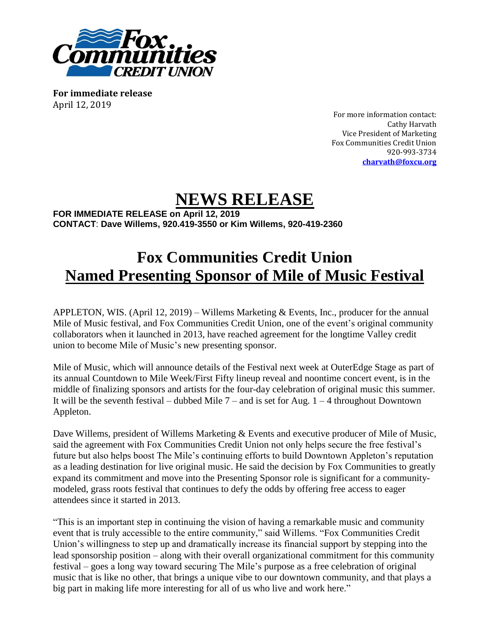

**For immediate release** April 12, 2019

For more information contact: Cathy Harvath Vice President of Marketing Fox Communities Credit Union 920-993-3734 **[charvath@foxcu.org](mailto:charvath@foxcu.org)**

## **NEWS RELEASE**

**FOR IMMEDIATE RELEASE on April 12, 2019 CONTACT**: **Dave Willems, 920.419-3550 or Kim Willems, 920-419-2360**

## **Fox Communities Credit Union Named Presenting Sponsor of Mile of Music Festival**

APPLETON, WIS. (April 12, 2019) – Willems Marketing & Events, Inc., producer for the annual Mile of Music festival, and Fox Communities Credit Union, one of the event's original community collaborators when it launched in 2013, have reached agreement for the longtime Valley credit union to become Mile of Music's new presenting sponsor.

Mile of Music, which will announce details of the Festival next week at OuterEdge Stage as part of its annual Countdown to Mile Week/First Fifty lineup reveal and noontime concert event, is in the middle of finalizing sponsors and artists for the four-day celebration of original music this summer. It will be the seventh festival – dubbed Mile  $7$  – and is set for Aug.  $1 - 4$  throughout Downtown Appleton.

Dave Willems, president of Willems Marketing & Events and executive producer of Mile of Music, said the agreement with Fox Communities Credit Union not only helps secure the free festival's future but also helps boost The Mile's continuing efforts to build Downtown Appleton's reputation as a leading destination for live original music. He said the decision by Fox Communities to greatly expand its commitment and move into the Presenting Sponsor role is significant for a communitymodeled, grass roots festival that continues to defy the odds by offering free access to eager attendees since it started in 2013.

"This is an important step in continuing the vision of having a remarkable music and community event that is truly accessible to the entire community," said Willems. "Fox Communities Credit Union's willingness to step up and dramatically increase its financial support by stepping into the lead sponsorship position – along with their overall organizational commitment for this community festival – goes a long way toward securing The Mile's purpose as a free celebration of original music that is like no other, that brings a unique vibe to our downtown community, and that plays a big part in making life more interesting for all of us who live and work here."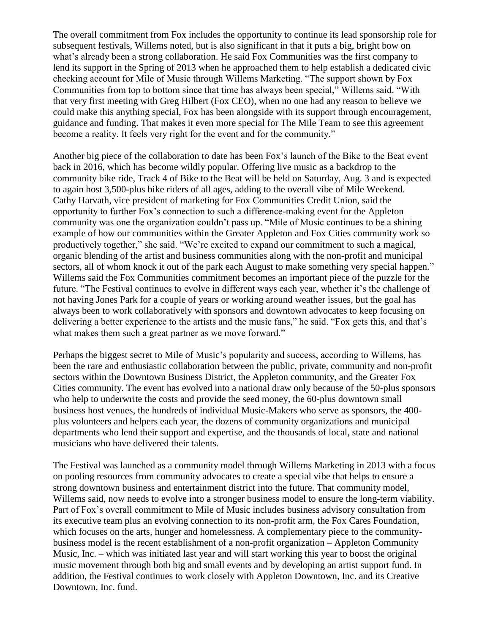The overall commitment from Fox includes the opportunity to continue its lead sponsorship role for subsequent festivals, Willems noted, but is also significant in that it puts a big, bright bow on what's already been a strong collaboration. He said Fox Communities was the first company to lend its support in the Spring of 2013 when he approached them to help establish a dedicated civic checking account for Mile of Music through Willems Marketing. "The support shown by Fox Communities from top to bottom since that time has always been special," Willems said. "With that very first meeting with Greg Hilbert (Fox CEO), when no one had any reason to believe we could make this anything special, Fox has been alongside with its support through encouragement, guidance and funding. That makes it even more special for The Mile Team to see this agreement become a reality. It feels very right for the event and for the community."

Another big piece of the collaboration to date has been Fox's launch of the Bike to the Beat event back in 2016, which has become wildly popular. Offering live music as a backdrop to the community bike ride, Track 4 of Bike to the Beat will be held on Saturday, Aug. 3 and is expected to again host 3,500-plus bike riders of all ages, adding to the overall vibe of Mile Weekend. Cathy Harvath, vice president of marketing for Fox Communities Credit Union, said the opportunity to further Fox's connection to such a difference-making event for the Appleton community was one the organization couldn't pass up. "Mile of Music continues to be a shining example of how our communities within the Greater Appleton and Fox Cities community work so productively together," she said. "We're excited to expand our commitment to such a magical, organic blending of the artist and business communities along with the non-profit and municipal sectors, all of whom knock it out of the park each August to make something very special happen." Willems said the Fox Communities commitment becomes an important piece of the puzzle for the future. "The Festival continues to evolve in different ways each year, whether it's the challenge of not having Jones Park for a couple of years or working around weather issues, but the goal has always been to work collaboratively with sponsors and downtown advocates to keep focusing on delivering a better experience to the artists and the music fans," he said. "Fox gets this, and that's what makes them such a great partner as we move forward."

Perhaps the biggest secret to Mile of Music's popularity and success, according to Willems, has been the rare and enthusiastic collaboration between the public, private, community and non-profit sectors within the Downtown Business District, the Appleton community, and the Greater Fox Cities community. The event has evolved into a national draw only because of the 50-plus sponsors who help to underwrite the costs and provide the seed money, the 60-plus downtown small business host venues, the hundreds of individual Music-Makers who serve as sponsors, the 400 plus volunteers and helpers each year, the dozens of community organizations and municipal departments who lend their support and expertise, and the thousands of local, state and national musicians who have delivered their talents.

The Festival was launched as a community model through Willems Marketing in 2013 with a focus on pooling resources from community advocates to create a special vibe that helps to ensure a strong downtown business and entertainment district into the future. That community model, Willems said, now needs to evolve into a stronger business model to ensure the long-term viability. Part of Fox's overall commitment to Mile of Music includes business advisory consultation from its executive team plus an evolving connection to its non-profit arm, the Fox Cares Foundation, which focuses on the arts, hunger and homelessness. A complementary piece to the communitybusiness model is the recent establishment of a non-profit organization – Appleton Community Music, Inc. – which was initiated last year and will start working this year to boost the original music movement through both big and small events and by developing an artist support fund. In addition, the Festival continues to work closely with Appleton Downtown, Inc. and its Creative Downtown, Inc. fund.